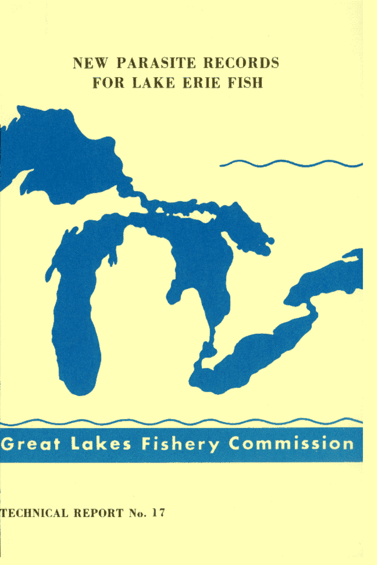# **NEW PARASITE RECORDS FOR LAKE ERIE FISH**



TECHNICAL REPORT No. 17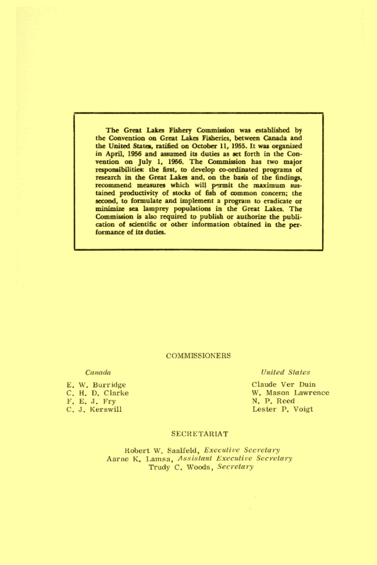The Great Lakes Fishery Commission was established by the Convention on Great Lakes Fisheries, between Canada and the United States, ratified on October 11, 1955. It was organized in April, 1956 and assumed its duties as set forth in the Convention on July 1, 1956. The Commission has two major responsibilities: the first, to develop co-ordinated programs of research in the Great Lakes and, on the basis of the findings, recommend measures which will permit the maximum sustained productivity of stocks of fish of common concern; the second, to formulate and implement a program to eradicate or minimize sea lamprey populations in the Great Lakes. The Commission is also required to publish or authorize the publication of scientific or other information obtained in the performance of its duties.

#### **COMMISSIONERS**

#### Canada

E. W. Burridge C. H. D. Clarke F. E. J. Fry C. J. Kerswill

#### **United States**

Claude Ver Duin W. Mason Lawrence N. P. Reed Lester P. Voigt

#### **SECRETARIAT**

Robert W. Saalfeld, Executive Secretary Aarne K. Lamsa, Assistant Executive Secretary Trudy C. Woods, Secretary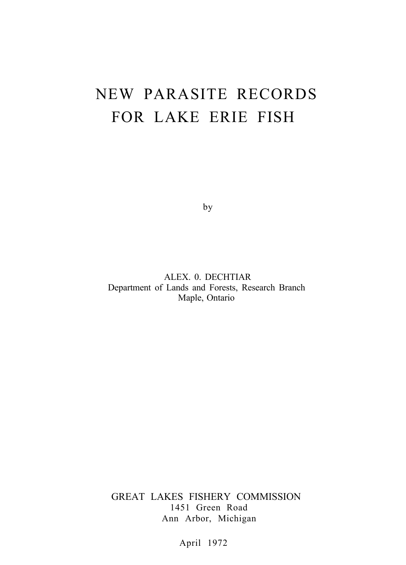# NEW PARASITE RECORDS FOR LAKE ERIE FISH

by

ALEX. 0. DECHTIAR Department of Lands and Forests, Research Branch Maple, Ontario

GREAT LAKES FISHERY COMMISSION 1451 Green Road Ann Arbor, Michigan

April 1972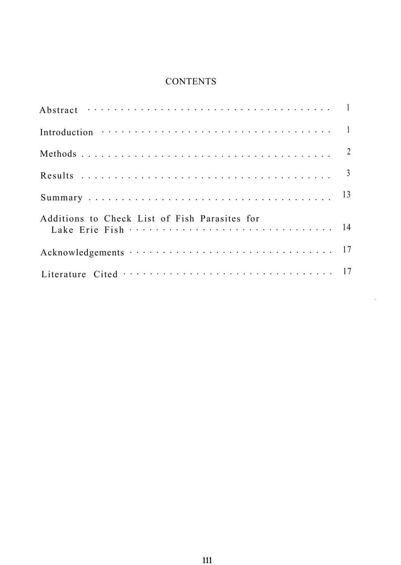## **CONTENTS**

| Additions to Check List of Fish Parasites for |  |
|-----------------------------------------------|--|
|                                               |  |
|                                               |  |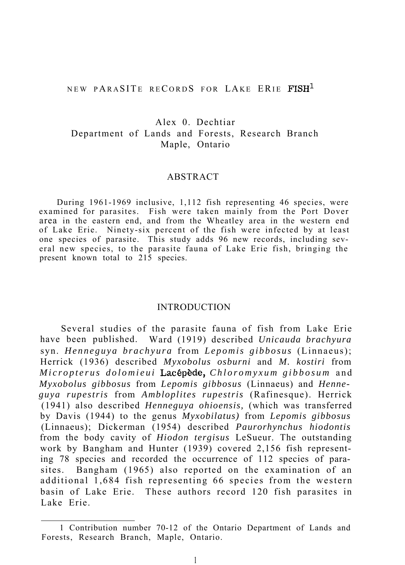## NEW PARASITE RECORDS FOR LAKE ERIE FISH<sup>1</sup>

## Alex 0. Dechtiar Department of Lands and Forests, Research Branch Maple, Ontario

## ABSTRACT

During 1961-1969 inclusive, 1,112 fish representing 46 species, were examined for parasites. Fish were taken mainly from the Port Dover area in the eastern end, and from the Wheatley area in the western end of Lake Erie. Ninety-six percent of the fish were infected by at least one species of parasite. This study adds 96 new records, including several new species, to the parasite fauna of Lake Erie fish, bringing the present known total to 215 species.

## INTRODUCTION

Several studies of the parasite fauna of fish from Lake Erie have been published. Ward (1919) described *Unicauda brachyura* syn. *Henneguya brachyura* from *Lepomis gibbosus* (Linnaeus); Herrick (1936) described *Myxobolus osburni* and *M. kostiri* from *Micropterus dolomieui* La&p&de, *Chloromyxum gibbosum* and *Myxobolus gibbosus* from *Lepomis gibbosus* (Linnaeus) and *Henneguya rupestris* from *Ambloplites rupestris* (Rafinesque). Herrick (1941) also described *Henneguya ohioensis,* (which was transferred by Davis (1944) to the genus *Myxobilatus)* from *Lepomis gibbosus* (Linnaeus); Dickerman (1954) described *Paurorhynchus hiodontis* from the body cavity of *Hiodon tergisus* LeSueur. The outstanding work by Bangham and Hunter (1939) covered 2,156 fish representing 78 species and recorded the occurrence of 112 species of parasites. Bangham (1965) also reported on the examination of an additional 1,684 fish representing 66 species from the western basin of Lake Erie. These authors record 120 fish parasites in Lake Erie.

<sup>1</sup> Contribution number 70-12 of the Ontario Department of Lands and Forests, Research Branch, Maple, Ontario.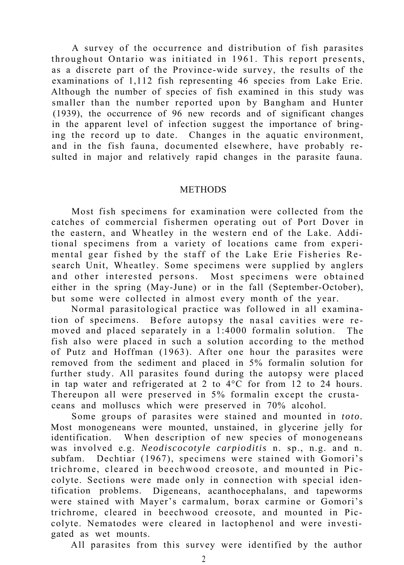A survey of the occurrence and distribution of fish parasites throughout Ontario was initiated in 1961. This report presents, as a discrete part of the Province-wide survey, the results of the examinations of 1,112 fish representing 46 species from Lake Erie. Although the number of species of fish examined in this study was smaller than the number reported upon by Bangham and Hunter (1939), the occurrence of 96 new records and of significant changes in the apparent level of infection suggest the importance of bringing the record up to date. Changes in the aquatic environment, and in the fish fauna, documented elsewhere, have probably resulted in major and relatively rapid changes in the parasite fauna.

## **METHODS**

Most fish specimens for examination were collected from the catches of commercial fishermen operating out of Port Dover in the eastern, and Wheatley in the western end of the Lake. Additional specimens from a variety of locations came from experimental gear fished by the staff of the Lake Erie Fisheries Research Unit, Wheatley. Some specimens were supplied by anglers and other interested persons. Most specimens were obtained either in the spring (May-June) or in the fall (September-October), but some were collected in almost every month of the year.

Normal parasitological practice was followed in all examination of specimens. Before autopsy the nasal cavities were removed and placed separately in a 1:4000 formalin solution. The fish also were placed in such a solution according to the method of Putz and Hoffman (1963). After one hour the parasites were removed from the sediment and placed in 5% formalin solution for further study. All parasites found during the autopsy were placed in tap water and refrigerated at 2 to 4°C for from 12 to 24 hours. Thereupon all were preserved in 5% formalin except the crustaceans and molluscs which were preserved in 70% alcohol.

Some groups of parasites were stained and mounted in *toto.* Most monogeneans were mounted, unstained, in glycerine jelly for identification. When description of new species of monogeneans was involved e.g. *Neodiscocotyle carpioditis* n. sp., n.g. and n. subfam. Dechtiar (1967), specimens were stained with Gomori's trichrome, cleared in beechwood creosote, and mounted in Piccolyte. Sections were made only in connection with special identification problems. Digeneans, acanthocephalans, and tapeworms were stained with Mayer's carmalum, borax carmine or Gomori's trichrome, cleared in beechwood creosote, and mounted in Piccolyte. Nematodes were cleared in lactophenol and were investigated as wet mounts.

All parasites from this survey were identified by the author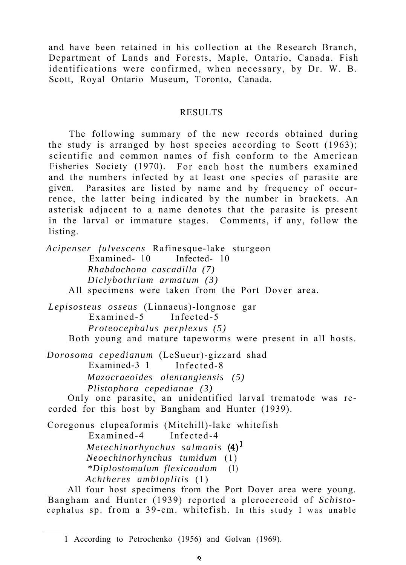and have been retained in his collection at the Research Branch, Department of Lands and Forests, Maple, Ontario, Canada. Fish identifications were confirmed, when necessary, by Dr. W. B. Scott, Royal Ontario Museum, Toronto, Canada.

## RESULTS

The following summary of the new records obtained during the study is arranged by host species according to Scott (1963); scientific and common names of fish conform to the American Fisheries Society (1970). For each host the numbers examined and the numbers infected by at least one species of parasite are given. Parasites are listed by name and by frequency of occurrence, the latter being indicated by the number in brackets. An asterisk adjacent to a name denotes that the parasite is present in the larval or immature stages. Comments, if any, follow the listing.

*Acipenser fulvescens* Rafinesque-lake sturgeon Examined- 10 Infected- 10 *Rhabdochona cascadilla (7) Diclybothrium armatum (3)* All specimens were taken from the Port Dover area. *Lepisosteus osseus* (Linnaeus)-longnose gar Examined-5 Infected-5 *Proteocephalus perplexus (5)* Both young and mature tapeworms were present in all hosts.

*Dorosoma cepedianum* (LeSueur)-gizzard shad Examined-3 1 Infected-8 *Mazocraeoides olentangiensis (5) Plistophora cepedianae (3)*

Only one parasite, an unidentified larval trematode was recorded for this host by Bangham and Hunter (1939).

Coregonus clupeaformis (Mitchill)-lake whitefish Examined-4 Infected-4 *Metechinorhynchus salmonis (4)l Neoechinorhynchus tumidum* (1) *\*Diplostomulum flexicaudum* (1) *Achtheres ambloplitis* (1)

All four host specimens from the Port Dover area were young. Bangham and Hunter (1939) reported a plerocercoid of *Schisto*cephalus sp. from a 39-cm. whitefish. In this study I was unable

<sup>1</sup> According to Petrochenko (1956) and Golvan (1969).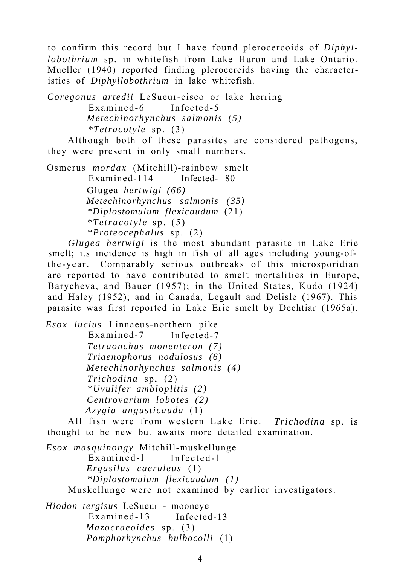to confirm this record but I have found plerocercoids of *Diphyllobothrium* sp. in whitefish from Lake Huron and Lake Ontario. Mueller (1940) reported finding plerocercids having the characteristics of *Diphyllobothrium* in lake whitefish.

*Coregonus artedii* LeSueur-cisco or lake herring Examined-6 Infected-5 *Metechinorhynchus salmonis (5) \*Tetracotyle* sp. (3)

Although both of these parasites are considered pathogens, they were present in only small numbers.

Osmerus *mordax* (Mitchill)-rainbow smelt Examined-114 Infected- 80 Glugea *hertwigi (66) Metechinorhynchus salmonis (35) \*Diplostomulum flexicaudum* (21) *\*Tetracotyle* sp. (5) *\*Proteocephalus* sp. (2)

*Glugea hertwigi* is the most abundant parasite in Lake Erie smelt; its incidence is high in fish of all ages including young-ofthe-year. Comparably serious outbreaks of this microsporidian are reported to have contributed to smelt mortalities in Europe, Barycheva, and Bauer (1957); in the United States, Kudo (1924) and Haley (1952); and in Canada, Legault and Delisle (1967). This parasite was first reported in Lake Erie smelt by Dechtiar (1965a).

*Esox lucius* Linnaeus-northern pike Examined-7 Infected-7 *Tetraonchus monenteron (7) Triaenophorus nodulosus (6) Metechinorhynchus salmonis (4) Trichodina* sp, (2) *\*Uvulifer ambloplitis (2) Centrovarium lobotes (2) Azygia angusticauda* (1)

All fish were from western Lake Erie. *Trichodina* sp. is thought to be new but awaits more detailed examination.

*Esox masquinongy* Mitchill-muskellunge Examined-l Infected-l *Ergasilus caeruleus* (1) *\*Diplostomulum flexicaudum (1)* Muskellunge were not examined by earlier investigators.

*Hiodon tergisus* LeSueur - mooneye Examined-13 Infected-13 *Mazocraeoides* sp. (3) *Pomphorhynchus bulbocolli* (1)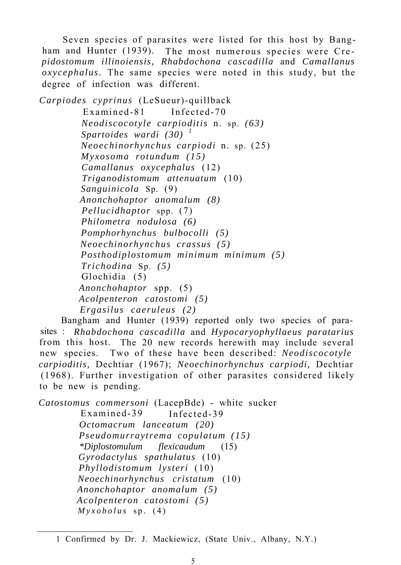Seven species of parasites were listed for this host by Bangham and Hunter (1939). The most numerous species were Cre*pidostomum illinoiensis, Rhabdochona cascadilla* and *Camallanus oxycephalus.* The same species were noted in this study, but the degree of infection was different.

*Carpiodes cyprinus* (LeSueur)-quillback Examined-81 Infected-70 *Neodiscocotyle carpioditis* n. sp. *(63) Spartoides wardi (30) <sup>1</sup> Neoechinorhynchus carpiodi* n. sp. (25) *Myxosoma rotundum (15) Camallanus oxycephalus* (12) *Triganodistomum attenuatum* (10) *Sanguinicola* Sp. (9) *Anonchohaptor anomalum (8) Pellucidhaptor* spp. (7) *Philometra nodulosa (6) Pomphorhynchus bulbocolli (5) Neoechinorhynchus crassus (5) Posthodiplostomum minimum minimum (5) Trichodina* Sp. *(5)* Glochidia (5) *Anonchohaptor* spp. (5) *Acolpenteron catostomi (5) Ergasilus caeruleus (2)*

Bangham and Hunter (1939) reported only two species of parasites : *Rhabdochona cascadilla* and *Hypocaryophyllaeus paratarius* from this host. The 20 new records herewith may include several new species. Two of these have been described: *Neodiscocotyle carpioditis,* Dechtiar (1967); *Neoechinorhynchus carpiodi,* Dechtiar (1968). Further investigation of other parasites considered likely to be new is pending.

*Catostomus commersoni* (LacepBde) - white sucker Examined-39 Infected-39 *Octomacrum lanceatum (20) Pseudomurraytrema copulatum (15) \*Diplostomulum flexicaudum* (15) *Gyrodactylus spathulatus* (10) *Phyllodistomum lysteri* (10) *Neoechinorhynchus cristatum* (10) *Anonchohaptor anomalum (5) Acolpenteron catostomi (5) Myxobolus* sp. (4)

<sup>1</sup> Confirmed by Dr. J. Mackiewicz, (State Univ., Albany, N.Y.)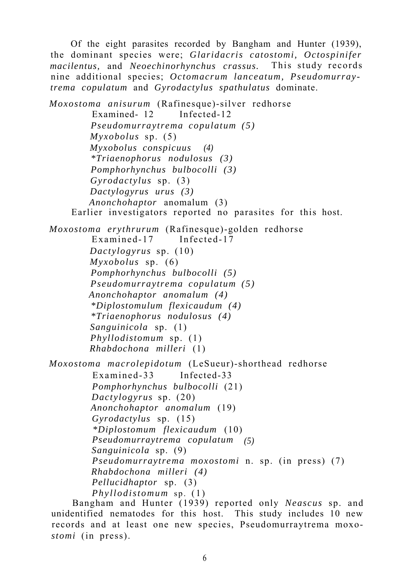Of the eight parasites recorded by Bangham and Hunter (1939), the dominant species were; *Glaridacris catostomi, Octospinifer macilentus,* and *Neoechinorhynchus crassus.* This study records nine additional species; *Octomacrum lanceatum, Pseudomurraytrema copulatum* and *Gyrodactylus spathulatus* dominate.

*Moxostoma anisurum* (Rafinesque)-silver redhorse Examined- 12 Infected-12 *Pseudomurraytrema copulatum (5) Myxobolus* sp. (5) *Myxobolus conspicuus (4) \*Triaenophorus nodulosus (3) Pomphorhynchus bulbocolli (3) Gyrodactylus* sp. (3) *Dactylogyrus urus (3) Anonchohaptor* anomalum (3) Earlier investigators reported no parasites for this host. *Moxostoma erythrurum* (Rafinesque)-golden redhorse Examined-17 Infected-17 *Dactylogyrus* sp. (10) *Myxobolus* sp. (6) *Pomphorhynchus bulbocolli (5) Pseudomurraytrema copulatum (5) Anonchohaptor anomalum (4) \*Diplostomulum flexicaudum (4) \*Triaenophorus nodulosus (4) Sanguinicola* sp. (1) *Phyllodistomum* sp. (1) *Rhabdochona milleri* (1) *Moxostoma macrolepidotum* (LeSueur)-shorthead redhorse Examined-33 Infected-33 *Pomphorhynchus bulbocolli* (21) *Dactylogyrus* sp. (20) *Anonchohaptor anomalum* (19) *Gyrodactylus* sp. (15) *\*Diplostomum flexicaudum* (10) *Pseudomurraytrema copulatum (5) Sanguinicola* sp. (9) *Pseudomurraytrema moxostomi* n. sp. (in press) (7) *Rhabdochona milleri (4) Pellucidhaptor* sp. (3) *Phyllodistomum* sp. (1)

Bangham and Hunter (1939) reported only *Neascus* sp. and unidentified nematodes for this host. This study includes 10 new records and at least one new species, Pseudomurraytrema moxo*stomi* (in press).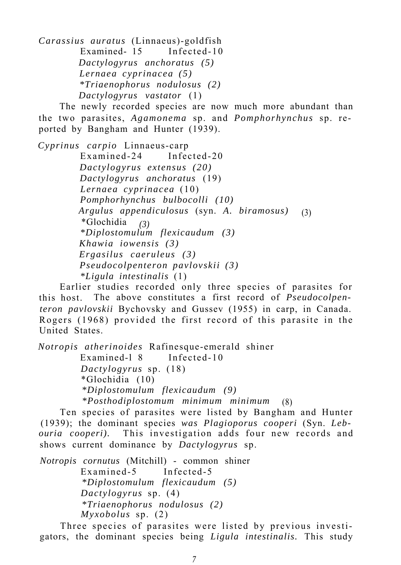*Carassius auratus* (Linnaeus)-goldfish Examined- 15 Infected-10 *Dactylogyrus anchoratus (5) Lernaea cyprinacea (5) \*Triaenophorus nodulosus (2) Dactylogyrus vastator* (1)

The newly recorded species are now much more abundant than the two parasites, *Agamonema* sp. and *Pomphorhynchus* sp. reported by Bangham and Hunter (1939).

*Cyprinus carpio* Linnaeus-carp Examined-24 Infected-20 *Dactylogyrus extensus (20) Dactylogyrus anchoratus* (19) *Lernaea cyprinacea* (10) *Pomphorhynchus bulbocolli (10) Argulus appendiculosus* (syn. *A. biramosus)* (3) \*Glochidia *(3) \*Diplostomulum flexicaudum (3) Khawia iowensis (3) Ergasilus caeruleus (3) Pseudocolpenteron pavlovskii (3) \*Ligula intestinalis* (1)

Earlier studies recorded only three species of parasites for this host. The above constitutes a first record of *Pseudocolpenteron pavlovskii* Bychovsky and Gussev (1955) in carp, in Canada. Rogers (1968) provided the first record of this parasite in the United States.

*Notropis atherinoides* Rafinesque-emerald shiner Examined-l 8 Infected-10 *Dactylogyrus* sp. (18) \*Glochidia (10) *\*Diplostomulum flexicaudum (9) \*Posthodiplostomum minimum minimum* (8)

Ten species of parasites were listed by Bangham and Hunter (1939); the dominant species *was Plagioporus cooperi* (Syn. *Lebouria cooperi).* This investigation adds four new records and shows current dominance by *Dactylogyrus* sp.

*Notropis cornutus* (Mitchill) - common shiner Examined-5 Infected-5 *\*Diplostomulum flexicaudum (5) Dactylogyrus* sp. (4) *\*Triaenophorus nodulosus (2) Myxobolus* sp. (2)

Three species of parasites were listed by previous investigators, the dominant species being *Ligula intestinalis.* This study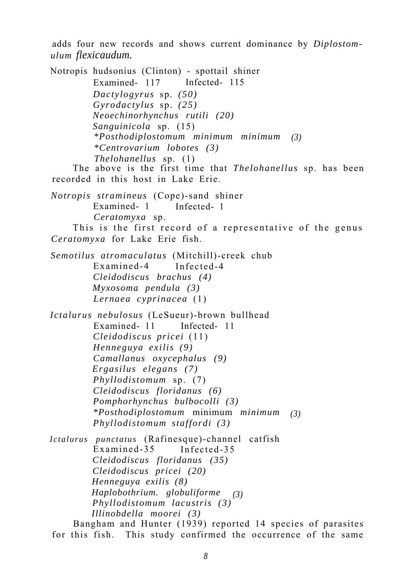adds four new records and shows current dominance by *Diplostomulum flexicaudum.*

Notropis hudsonius (Clinton) - spottail shiner Examined- 117 Infected- 115 *Dactylogyrus* sp. *(50) Gyrodactylus* sp. *(25) Neoechinorhynchus rutili (20) Sanguinicola* sp. (15) *\*Posthodiplostomum minimum minimum (3) \*Centrovarium lobotes (3) Thelohanellus* sp. (1) The above is the first time that *Thelohanellus* sp. has been recorded in this host in Lake Erie. *Notropis stramineus* (Cope)-sand shiner Examined- 1 Infected- 1 *Ceratomyxa* sp. This is the first record of a representative of the genus *Ceratomyxa* for Lake Erie fish. *Semotilus atromaculatus* (Mitchill)-creek chub Examined-4 Infected-4 *Cleidodiscus brachus (4) Myxosoma pendula (3) Lernaea cyprinacea* (1) *Ictalurus nebulosus* (LeSueur)-brown bullhead Examined- 11 Infected- 11 *Cleidodiscus pricei* (11) *Henneguya exilis (9) Camallanus oxycephalus (9) Ergasilus elegans (7) Phyllodistomum* sp. (7) *Cleidodiscus floridanus (6) Pomphorhynchus bulbocolli (3) \*Posthodiplostomum* minimum *minimum (3) Phyllodistomum staffordi (3) Ictalurus punctatus* (Rafinesque)-channel catfish Examined-35 Infected-35 *Cleidodiscus floridanus (35) Cleidodiscus pricei (20) Henneguya exilis (8) Haplobothrium. globuliforme (3) Phyllodistomum lacustris (3) Illinobdella moorei (3)*

Bangham and Hunter (1939) reported 14 species of parasites for this fish. This study confirmed the occurrence of the same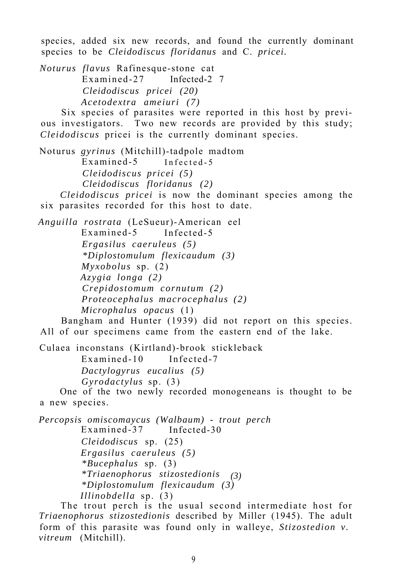species, added six new records, and found the currently dominant species to be *Cleidodiscus floridanus* and C. *pricei.*

*Noturus flavus* Rafinesque-stone cat Examined-27 Infected-2 7 *Cleidodiscus pricei (20) Acetodextra ameiuri (7)*

Six species of parasites were reported in this host by previous investigators. Two new records are provided by this study; *Cleidodiscus* pricei is the currently dominant species.

Noturus *gyrinus* (Mitchill)-tadpole madtom Examined-5 Infected-5 *Cleidodiscus pricei (5) Cleidodiscus floridanus (2)*

*Cleidodiscus pricei* is now the dominant species among the six parasites recorded for this host to date.

*Anguilla rostrata* (LeSueur)-American eel Examined-5 Infected-5 *Ergasilus caeruleus (5) \*Diplostomulum flexicaudum (3) Myxobolus* sp. (2) *Azygia longa (2) Crepidostomum cornutum (2) Proteocephalus macrocephalus (2) Microphalus opacus* (1)

Bangham and Hunter (1939) did not report on this species. All of our specimens came from the eastern end of the lake.

Culaea inconstans (Kirtland)-brook stickleback Examined-10 Infected-7 *Dactylogyrus eucalius (5) Gyrodactylus* sp. (3)

One of the two newly recorded monogeneans is thought to be a new species.

*Percopsis omiscomaycus (Walbaum) - trout perch* Examined-37 Infected-30 *Cleidodiscus* sp. (25) *Ergasilus caeruleus (5) \*Bucephalus* sp. (3) *\*Triaenophorus stizostedionis (3) \*Diplostomulum flexicaudum (3) Illinobdella* sp. (3)

The trout perch is the usual second intermediate host for *Triaenophorus stizostedionis* described by Miller (1945). The adult form of this parasite was found only in walleye, *Stizostedion v. vitreum* (Mitchill).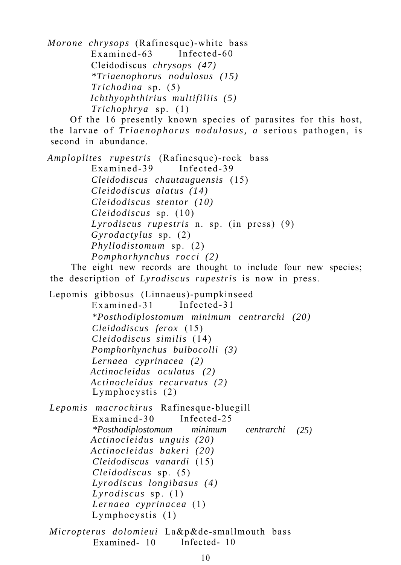*Morone chrysops* (Rafinesque)-white bass Examined-63 Infected-60 Cleidodiscus *chrysops (47) \*Triaenophorus nodulosus (15) Trichodina* sp. (5) *Ichthyophthirius multifiliis (5) Trichophrya* sp. (1)

Of the 16 presently known species of parasites for this host, the larvae of *Triaenophorus nodulosus, a* serious pathogen, is second in abundance.

*Amploplites rupestris* (Rafinesque)-rock bass Examined-39 Infected-39 *Cleidodiscus chautauguensis* (15) *Cleidodiscus alatus (14) Cleidodiscus stentor (10) Cleidodiscus* sp. (10) *Lyrodiscus rupestris* n. sp. (in press) (9) *Gyrodactylus* sp. (2) *Phyllodistomum* sp. (2) *Pomphorhynchus rocci (2)*

The eight new records are thought to include four new species; the description of *Lyrodiscus rupestris* is now in press.

Lepomis gibbosus (Linnaeus)-pumpkinseed Examined-31 Infected-31 *\*Posthodiplostomum minimum centrarchi (20) Cleidodiscus ferox* (15) *Cleidodiscus similis* (14) *Pomphorhynchus bulbocolli (3) Lernaea cyprinacea (2) Actinocleidus oculatus (2) Actinocleidus recurvatus (2)* Lymphocystis (2) *Lepomis macrochirus* Rafinesque-bluegill

Examined-30 Infected-25 *\*Posthodiplostomum minimum centrarchi (25) Actinocleidus unguis (20) Actinocleidus bakeri (20) Cleidodiscus vanardi* (15) *Cleidodiscus* sp. (5) *Lyrodiscus longibasus (4) Lyrodiscus* sp. (1) *Lernaea cyprinacea* (1) Lymphocystis (1)

*Micropterus dolomieui* La&p&de-smallmouth bass Examined- 10 Infected- 10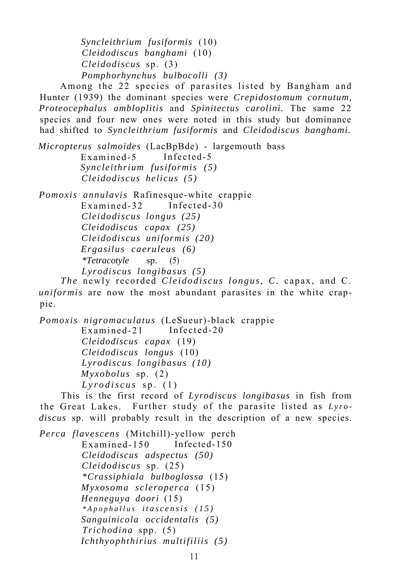*Syncleithrium fusiformis* (10) *Cleidodiscus banghami* (10) *Cleidodiscus* sp. (3) *Pomphorhynchus bulbocolli (3)*

Among the 22 species of parasites listed by Bangham and Hunter (1939) the dominant species were *Crepidostomum cornutum, Proteocephalus ambloplitis* and *Spinitectus carolini.* The same 22 species and four new ones were noted in this study but dominance had shifted to *Syncleithrium fusiformis* and *Cleidodiscus banghami.*

*Micropterus salmoides* (LacBpBde) - largemouth bass Examined-5 Infected-5 *Syncleithrium fusiformis (5) Cleidodiscus helicus (5)*

*Pomoxis annulavis* Rafinesque-white crappie Examined-32 Infected-30 *Cleidodiscus longus (25) Cleidodiscus capax (25) Cleidodiscus uniformis (20) Ergasilus caeruleus (6) \*Tetracotyle* sp. (5) *Lyrodiscus longibasus (5)*

*The* newly recorded *Cleidodiscus longus, C.* capax, and C. *uniformis* are now the most abundant parasites in the white crappie.

*Pomoxis nigromaculatus* (LeSueur)-black crappie Examined-21 Infected-20 *Cleidodiscus capax* (19) *Cleidodiscus longus* (10) *Lyrodiscus longibasus (10) Myxobolus* sp. (2) *Lyrodiscus* sp. (1)

This is the first record of *Lyrodiscus longibasus* in fish from the Great Lakes. Further study of the parasite listed as *Lyrodiscus* sp. will probably result in the description of a new species.

*Perca flavescens* (Mitchill)-yellow perch Examined-150 Infected-150 *Cleidodiscus adspectus (50) Cleidodiscus* sp. (25) *\*Crassiphiala bulboglossa* (15) *Myxosoma scleroperca* (15) *Henneguya doori* (15) *\*Apophallus itascensis (15) Sanguinicola occidentalis (5) Trichodina* spp. (5) *Ichthyophthirius multifiliis (5)*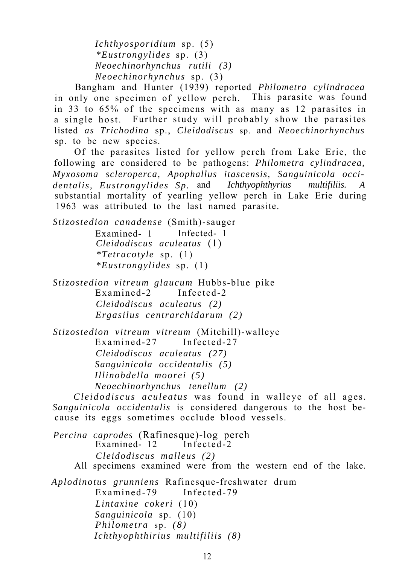*Ichthyosporidium* sp. (5) *\*Eustrongylides* sp. (3) *Neoechinorhynchus rutili (3) Neoechinorhynchus* sp. (3)

Bangham and Hunter (1939) reported *Philometra cylindracea* in only one specimen of yellow perch. This parasite was found in 33 to 65% of the specimens with as many as 12 parasites in a single host. Further study will probably show the parasites listed *as Trichodina* sp., *Cleidodiscus* sp. and *Neoechinorhynchus* sp. to be new species.

Of the parasites listed for yellow perch from Lake Erie, the following are considered to be pathogens: *Philometra cylindracea, Myxosoma scleroperca, Apophallus itascensis, Sanguinicola occidentalis, Eustrongylides Sp.* and *Ichthyophthyrius multifiliis. A* substantial mortality of yearling yellow perch in Lake Erie during 1963 was attributed to the last named parasite.

*Stizostedion canadense* (Smith)-sauger Examined- 1 Infected- 1 *Cleidodiscus aculeatus* (1) *\*Tetracotyle* sp. (1) *\*Eustrongylides* sp. (1)

*Stizostedion vitreum glaucum* Hubbs-blue pike Examined-2 Infected-2 *Cleidodiscus aculeatus (2) Ergasilus centrarchidarum (2)*

*Stizostedion vitreum vitreum* (Mitchill)-walleye  $Ex$ amined-27 *Cleidodiscus aculeatus (27) Sanguinicola occidentalis (5) Illinobdella moorei (5) Neoechinorhynchus tenellum (2)*

*Cleidodiscus aculeatus* was found in walleye of all ages. *Sanguinicola occidentalis* is considered dangerous to the host because its eggs sometimes occlude blood vessels.

*Percina caprodes* (Rafinesque)-log perch Examined- $12$ *Cleidodiscus malleus (2)* All specimens examined were from the western end of the lake.

*Aplodinotus grunniens* Rafinesque-freshwater drum Examined-79 Infected-79 *Lintaxine cokeri* (10) *Sanguinicola* sp. (10) *Philometra* sp. *(8) Ichthyophthirius multifiliis (8)*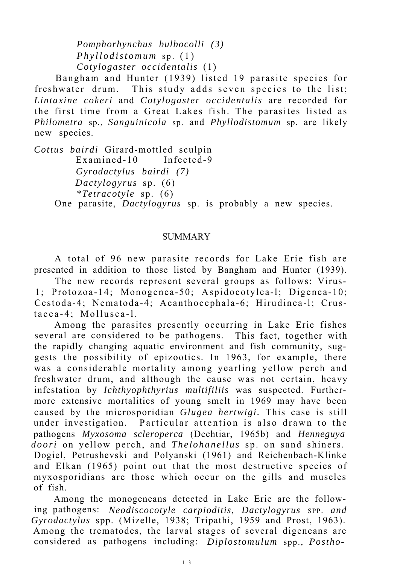*Pomphorhynchus bulbocolli (3) Phyllodistomum* sp. (1) *Cotylogaster occidentalis* (1)

Bangham and Hunter (1939) listed 19 parasite species for freshwater drum. This study adds seven species to the list; *Lintaxine cokeri* and *Cotylogaster occidentalis* are recorded for the first time from a Great Lakes fish. The parasites listed as *Philometra* sp., *Sanguinicola* sp. and *Phyllodistomum* sp. are likely new species.

*Cottus bairdi* Girard-mottled sculpin Examined-10 Infected-9 *Gyrodactylus bairdi (7) Dactylogyrus* sp. (6) *\*Tetracotyle* sp. (6) One parasite, *Dactylogyrus* sp. is probably a new species.

## **SUMMARY**

A total of 96 new parasite records for Lake Erie fish are presented in addition to those listed by Bangham and Hunter (1939).

The new records represent several groups as follows: Virus-1; Protozoa-14; Monogenea-50; Aspidocotylea-l; Digenea-10; Cestoda-4; Nematoda-4; Acanthocephala-6; Hirudinea-l; Crustacea-4; Mollusca-l.

Among the parasites presently occurring in Lake Erie fishes several are considered to be pathogens. This fact, together with the rapidly changing aquatic environment and fish community, suggests the possibility of epizootics. In 1963, for example, there was a considerable mortality among yearling yellow perch and freshwater drum, and although the cause was not certain, heavy infestation by *Ichthyophthyrius multifiliis* was suspected. Furthermore extensive mortalities of young smelt in 1969 may have been caused by the microsporidian *Glugea hertwigi.* This case is still under investigation. Particular attention is also drawn to the pathogens *Myxosoma scleroperca* (Dechtiar, 1965b) and *Henneguya doori* on yellow perch, and *Thelohanellus* sp. on sand shiners. Dogiel, Petrushevski and Polyanski (1961) and Reichenbach-Klinke and Elkan (1965) point out that the most destructive species of myxosporidians are those which occur on the gills and muscles of fish.

Among the monogeneans detected in Lake Erie are the following pathogens: *Neodiscocotyle carpioditis, Dactylogyrus* SPP. *and Gyrodactylus* spp. (Mizelle, 1938; Tripathi, 1959 and Prost, 1963). Among the trematodes, the larval stages of several digeneans are considered as pathogens including: *Diplostomulum* spp., *Postho-*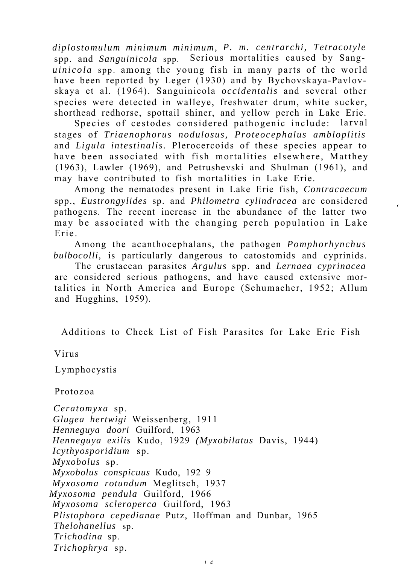*diplostomulum minimum minimum, P. m. centrarchi, Tetracotyle* spp. and *Sanguinicola* spp. Serious mortalities caused by Sang*uinicola* spp. among the young fish in many parts of the world have been reported by Leger (1930) and by Bychovskaya-Pavlovskaya et al. (1964). Sanguinicola *occidentalis* and several other species were detected in walleye, freshwater drum, white sucker, shorthead redhorse, spottail shiner, and yellow perch in Lake Erie.

Species of cestodes considered pathogenic include: larval stages of *Triaenophorus nodulosus, Proteocephalus ambloplitis* and *Ligula intestinalis.* Plerocercoids of these species appear to have been associated with fish mortalities elsewhere, Matthey (1963), Lawler (1969), and Petrushevski and Shulman (1961), and may have contributed to fish mortalities in Lake Erie.

Among the nematodes present in Lake Erie fish, *Contracaecum* spp., *Eustrongylides* sp. and *Philometra cylindracea* are considered pathogens. The recent increase in the abundance of the latter two may be associated with the changing perch population in Lake Erie.

Among the acanthocephalans, the pathogen *Pomphorhynchus bulbocolli,* is particularly dangerous to catostomids and cyprinids.

The crustacean parasites *Argulus* spp. and *Lernaea cyprinacea* are considered serious pathogens, and have caused extensive mortalities in North America and Europe (Schumacher, 1952; Allum and Hugghins, 1959).

Additions to Check List of Fish Parasites for Lake Erie Fish

Virus

Lymphocystis

Protozoa

*Ceratomyxa* sp. *Glugea hertwigi* Weissenberg, 1911 *Henneguya doori* Guilford, 1963 *Henneguya exilis* Kudo, 1929 *(Myxobilatus* Davis, 1944) *Icythyosporidium* sp. *Myxobolus* sp. *Myxobolus conspicuus* Kudo, 192 9 *Myxosoma rotundum* Meglitsch, 1937 *Myxosoma pendula* Guilford, 1966 *Myxosoma scleroperca* Guilford, 1963 *Plistophora cepedianae* Putz, Hoffman and Dunbar, 1965 *Thelohanellus* sp. *Trichodina* sp. *Trichophrya* sp.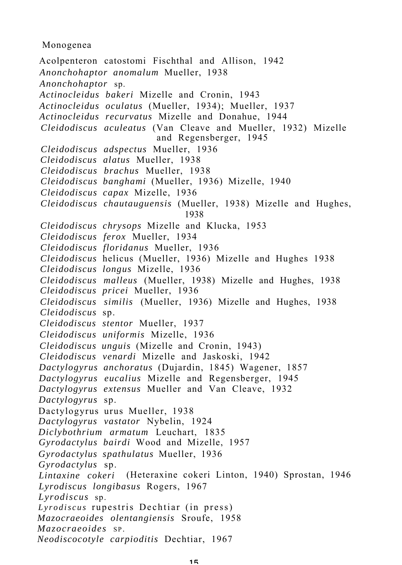## Monogenea

Acolpenteron catostomi Fischthal and Allison, 1942 *Anonchohaptor anomalum* Mueller, 1938 *Anonchohaptor* sp. *Actinocleidus bakeri* Mizelle and Cronin, 1943 *Actinocleidus oculatus* (Mueller, 1934); Mueller, 1937 *Actinocleidus recurvatus* Mizelle and Donahue, 1944 *Cleidodiscus aculeatus* (Van Cleave and Mueller, 1932) Mizelle and Regensberger, 1945 *Cleidodiscus adspectus* Mueller, 1936 *Cleidodiscus alatus* Mueller, 1938 *Cleidodiscus brachus* Mueller, 1938 *Cleidodiscus banghami* (Mueller, 1936) Mizelle, 1940 *Cleidodiscus capax* Mizelle, 1936 *Cleidodiscus chautauguensis* (Mueller, 1938) Mizelle and Hughes, 1938 *Cleidodiscus chrysops* Mizelle and Klucka, 1953 *Cleidodiscus ferox* Mueller, 1934 *Cleidodiscus floridanus* Mueller, 1936 *Cleidodiscus* helicus (Mueller, 1936) Mizelle and Hughes 1938 *Cleidodiscus longus* Mizelle, 1936 *Cleidodiscus malleus* (Mueller, 1938) Mizelle and Hughes, 1938 *Cleidodiscus pricei* Mueller, 1936 *Cleidodiscus similis* (Mueller, 1936) Mizelle and Hughes, 1938 *Cleidodiscus* sp. *Cleidodiscus stentor* Mueller, 1937 *Cleidodiscus uniformis* Mizelle, 1936 *Cleidodiscus unguis* (Mizelle and Cronin, 1943) *Cleidodiscus venardi* Mizelle and Jaskoski, 1942 *Dactylogyrus anchoratus* (Dujardin, 1845) Wagener, 1857 *Dactylogyrus eucalius* Mizelle and Regensberger, 1945 *Dactylogyrus extensus* Mueller and Van Cleave, 1932 *Dactylogyrus* sp. Dactylogyrus urus Mueller, 1938 *Dactylogyrus vastator* Nybelin, 1924 *Diclybothrium armatum* Leuchart, 1835 *Gyrodactylus bairdi* Wood and Mizelle, 1957 *Gyrodactylus spathulatus* Mueller, 1936 *Gyrodactylus* sp. *Lintaxine cokeri* (Heteraxine cokeri Linton, 1940) Sprostan, 1946 *Lyrodiscus longibasus* Rogers, 1967 *Lyrodiscus* sp. *Lyrodiscus* rupestris Dechtiar (in press) *Mazocraeoides olentangiensis* Sroufe, 1958 *Mazocraeoides* SP. *Neodiscocotyle carpioditis* Dechtiar, 1967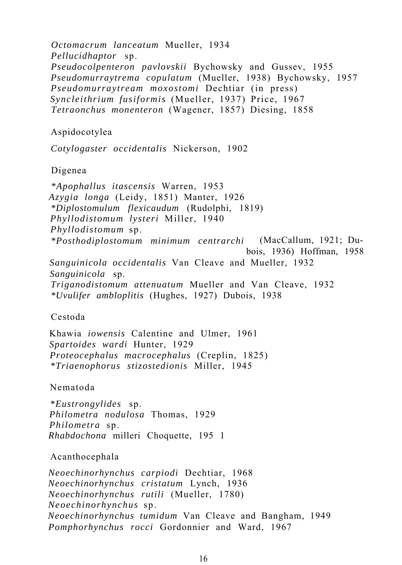*Octomacrum lanceatum* Mueller, 1934 *Pellucidhaptor* sp. *Pseudocolpenteron pavlovskii* Bychowsky and Gussev, 1955 *Pseudomurraytrema copulatum* (Mueller, 1938) Bychowsky, 1957 *Pseudomurraytream moxostomi* Dechtiar (in press) *Syncleithrium fusiformis* (Mueller, 1937) Price, 1967 *Tetraonchus monenteron* (Wagener, 1857) Diesing, 1858 Aspidocotylea *Cotylogaster occidentalis* Nickerson, 1902 Digenea *\*Apophallus itascensis* Warren, 1953 *Azygia longa* (Leidy, 1851) Manter, 1926 *\*Diplostomulum flexicaudum* (Rudolphi, 1819) *Phyllodistomum lysteri* Miller, 1940 *Phyllodistomum* sp. *\*Posthodiplostomum minimum centrarchi* (MacCallum, 1921; Dubois, 1936) Hoffman, 1958 *Sanguinicola occidentalis* Van Cleave and Mueller, 1932 *Sanguinicola* sp. *Triganodistomum attenuatum* Mueller and Van Cleave, 1932 *\*Uvulifer ambloplitis* (Hughes, 1927) Dubois, 1938 Cestoda Khawia *iowensis* Calentine and Ulmer, 1961 *Spartoides wardi* Hunter, 1929 *Proteocephalus macrocephalus* (Creplin, 1825) *\*Triaenophorus stizostedionis* Miller, 1945 Nematoda *\*Eustrongylides* sp. *Philometra nodulosa* Thomas, 1929 *Philometra* sp. *Rhabdochona* milleri Choquette, 195 1 Acanthocephala *Neoechinorhynchus carpiodi* Dechtiar, 1968 *Neoechinorhynchus cristatum* Lynch, 1936 *Neoechinorhynchus rutili* (Mueller, 1780) *Neoechinorhynchus* sp. *Neoechinorhynchus tumidum* Van Cleave and Bangham, 1949

*Pomphorhynchus rocci* Gordonnier and Ward, 1967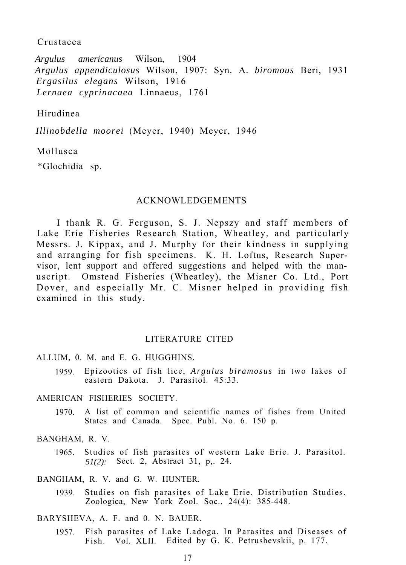## Crustacea

*Argulus americanus* Wilson, 1904 *Argulus appendiculosus* Wilson, 1907: Syn. A. *biromous* Beri, 1931 *Ergasilus elegans* Wilson, 1916 *Lernaea cyprinacaea* Linnaeus, 1761

## Hirudinea

*Illinobdella moorei* (Meyer, 1940) Meyer, 1946

## Mollusca

\*Glochidia sp.

## ACKNOWLEDGEMENTS

I thank R. G. Ferguson, S. J. Nepszy and staff members of Lake Erie Fisheries Research Station, Wheatley, and particularly Messrs. J. Kippax, and J. Murphy for their kindness in supplying and arranging for fish specimens. K. H. Loftus, Research Supervisor, lent support and offered suggestions and helped with the manuscript. Omstead Fisheries (Wheatley), the Misner Co. Ltd., Port Dover, and especially Mr. C. Misner helped in providing fish examined in this study.

#### LITERATURE CITED

## ALLUM, 0. M. and E. G. HUGGHINS.

1959. Epizootics of fish lice, *Argulus biramosus* in two lakes of eastern Dakota. J. Parasitol. 45:33.

## AMERICAN FISHERIES SOCIETY.

1970. A list of common and scientific names of fishes from United States and Canada. Spec. Publ. No. 6. 150 p.

## BANGHAM, R. V.

1965. Studies of fish parasites of western Lake Erie. J. Parasitol. *51(2):* Sect. 2, Abstract 31, p,. 24.

BANGHAM, R. V. and G. W. HUNTER.

1939. Studies on fish parasites of Lake Erie. Distribution Studies. Zoologica, New York Zool. Soc., 24(4): 385-448.

BARYSHEVA, A. F. and 0. N. BAUER.

1957. Fish parasites of Lake Ladoga. In Parasites and Diseases of Fish. Vol. XLII. Edited by G. K. Petrushevskii, p. 177.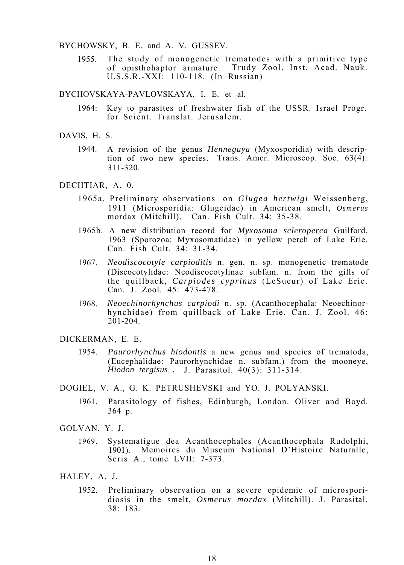#### BYCHOWSKY, B. E. and A. V. GUSSEV.

1955. The study of monogenetic trematodes with a primitive type of opisthohaptor armature. Trudy Zool. Inst. Acad. Nauk. U.S.S.R.-XXI: 110-118. (In Russian)

#### BYCHOVSKAYA-PAVLOVSKAYA, I. E. et al.

- 1964: Key to parasites of freshwater fish of the USSR. Israel Progr. for Scient. Translat. Jerusalem.
- DAVIS, H. S.
	- 1944. A revision of the genus *Henneguya* (Myxosporidia) with description of two new species. Trans. Amer. Microscop. Soc. 63(4): 311-320.

#### DECHTIAR, A. 0.

- 1965a. Preliminary observations on *Glugea hertwigi* Weissenberg, 1911 (Microsporidia: Glugeidae) in American smelt, *Osmerus* mordax (Mitchill). Can. Fish Cult. 34: 35-38.
- 1965b. A new distribution record for *Myxosoma scleroperca* Guilford, 1963 (Sporozoa: Myxosomatidae) in yellow perch of Lake Erie. Can. Fish Cult. 34: 31-34.
- 1967. *Neodiscocotyle carpioditis* n. gen. n. sp. monogenetic trematode (Discocotylidae: Neodiscocotylinae subfam. n. from the gills of the quillback, *Carpiodes cyprinus* (LeSueur) of Lake Erie. Can. J. Zool. 45: 473-478.
- 1968. *Neoechinorhynchus carpiodi* n. sp. (Acanthocephala: Neoechinorhynchidae) from quillback of Lake Erie. Can. J. Zool. 46:  $201 - 204$ .

DICKERMAN, E. E.

- 1954. *Paurorhynchus hiodontis* a new genus and species of trematoda, (Eucephalidae: Paurorhynchidae n. subfam.) from the mooneye, *Hiodon tergisus .* J. Parasitol. 40(3): 311-314.
- DOGIEL, V. A., G. K. PETRUSHEVSKI and YO. J. POLYANSKI.
	- 1961. Parasitology of fishes, Edinburgh, London. Oliver and Boyd. 364 p.
- GOLVAN, Y. J.
	- 1969. Systematigue dea Acanthocephales (Acanthocephala Rudolphi, 1901). Memoires du Museum National D'Histoire Naturalle, Seris A., tome LVII: 7-373.
- HALEY, A. J.
	- 1952. Preliminary observation on a severe epidemic of microsporidiosis in the smelt, *Osmerus mordax* (Mitchill). J. Parasital. 38: 183.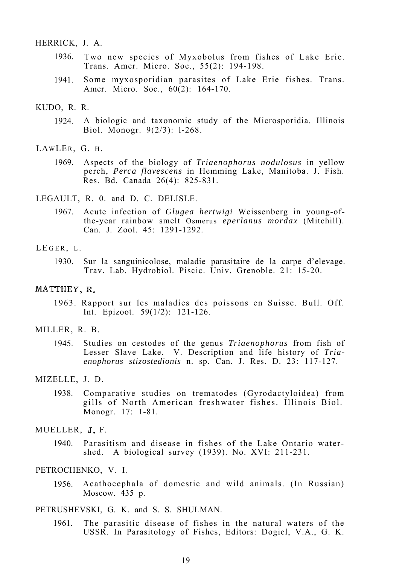#### HERRICK, J. A.

- 1936. Two new species of Myxobolus from fishes of Lake Erie. Trans. Amer. Micro. Soc., 55(2): 194-198.
- 1941. Some myxosporidian parasites of Lake Erie fishes. Trans. Amer. Micro. Soc., 60(2): 164-170.

#### KUDO, R. R.

- 1924. A biologic and taxonomic study of the Microsporidia. Illinois Biol. Monogr. 9(2/3): l-268.
- LAWLER, G. H.
	- 1969. Aspects of the biology of *Triaenophorus nodulosus* in yellow perch, *Perca flavescens* in Hemming Lake, Manitoba. J. Fish. Res. Bd. Canada 26(4): 825-831.

## LEGAULT, R. 0. and D. C. DELISLE.

1967. Acute infection of *Glugea hertwigi* Weissenberg in young-ofthe-year rainbow smelt Osmerus *eperlanus mordax* (Mitchill). Can. J. Zool. 45: 1291-1292.

#### LEGER. L.

1930. Sur la sanguinicolose, maladie parasitaire de la carpe d'elevage. Trav. Lab. Hydrobiol. Piscic. Univ. Grenoble. 21: 15-20.

#### MATTHEY, R.

1963. Rapport sur les maladies des poissons en Suisse. Bull. Off. Int. Epizoot. 59(1/2): 121-126.

#### MILLER, R. B.

1945. Studies on cestodes of the genus *Triaenophorus* from fish of Lesser Slave Lake. V. Description and life history of *Triaenophorus stizostedionis* n. sp. Can. J. Res. D. 23: 117-127.

## MIZELLE, J. D.

1938. Comparative studies on trematodes (Gyrodactyloidea) from gills of North American freshwater fishes. Illinois Biol. Monogr. 17: 1-81.

## MUELLER, 5. F.

1940. Parasitism and disease in fishes of the Lake Ontario watershed. A biological survey (1939). No. XVI: 211-231.

#### PETROCHENKO, V. I.

1956. Acathocephala of domestic and wild animals. (In Russian) Moscow. 435 p.

#### PETRUSHEVSKI, G. K. and S. S. SHULMAN.

1961. The parasitic disease of fishes in the natural waters of the USSR. In Parasitology of Fishes, Editors: Dogiel, V.A., G. K.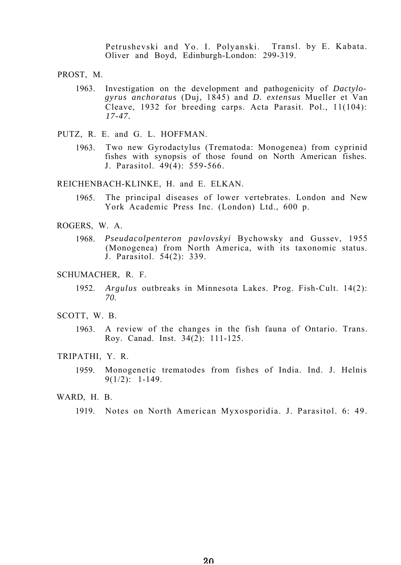Petrushevski and Yo. I. Polyanski. Transl. by E. Kabata. Oliver and Boyd, Edinburgh-London: 299-319.

PROST, M.

- 1963. Investigation on the development and pathogenicity of *Dactylogyrus anchoratus* (Duj, 1845) and *D. extensus* Mueller et Van Cleave, 1932 for breeding carps. Acta Parasit. Pol., 11(104): *17-47.*
- PUTZ, R. E. and G. L. HOFFMAN.
	- 1963. Two new Gyrodactylus (Trematoda: Monogenea) from cyprinid fishes with synopsis of those found on North American fishes. J. Parasitol. 49(4): 559-566.

REICHENBACH-KLINKE, H. and E. ELKAN.

- 1965. The principal diseases of lower vertebrates. London and New York Academic Press Inc. (London) Ltd., 600 p.
- ROGERS, W. A.
	- 1968. *Pseudacolpenteron pavlovskyi* Bychowsky and Gussev, 1955 (Monogenea) from North America, with its taxonomic status. J. Parasitol. 54(2): 339.
- SCHUMACHER, R. F.
	- 1952. *Argulus* outbreaks in Minnesota Lakes. Prog. Fish-Cult. 14(2): *70.*
- SCOTT, W. B.
	- 1963. A review of the changes in the fish fauna of Ontario. Trans. Roy. Canad. Inst. 34(2): 111-125.

## TRIPATHI, Y. R.

- 1959. Monogenetic trematodes from fishes of India. Ind. J. Helnis  $9(1/2): 1-149.$
- WARD, H. B.

<sup>1919.</sup> Notes on North American Myxosporidia. J. Parasitol. 6: 49.